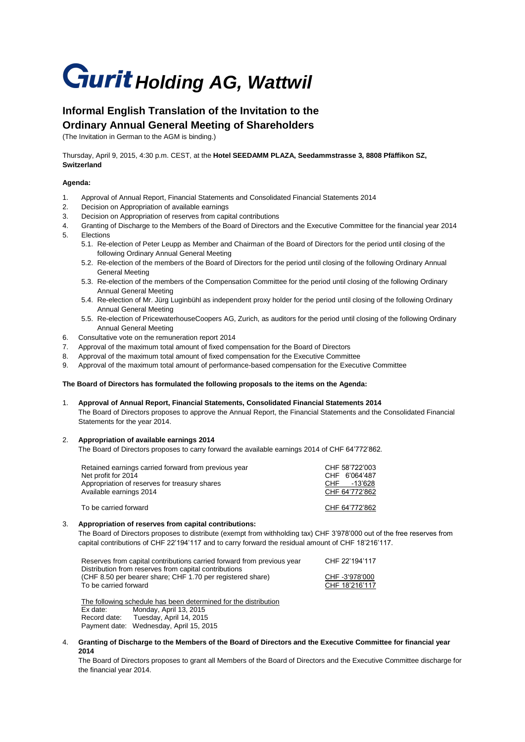# **Gurit Holding AG, Wattwil**

# **Informal English Translation of the Invitation to the Ordinary Annual General Meeting of Shareholders**

(The Invitation in German to the AGM is binding.)

Thursday, April 9, 2015, 4:30 p.m. CEST, at the **Hotel SEEDAMM PLAZA, Seedammstrasse 3, 8808 Pfäffikon SZ, Switzerland**

## **Agenda:**

- 1. Approval of Annual Report, Financial Statements and Consolidated Financial Statements 2014
- 2. Decision on Appropriation of available earnings
- 3. Decision on Appropriation of reserves from capital contributions
- 4. Granting of Discharge to the Members of the Board of Directors and the Executive Committee for the financial year 2014 5. Elections
	- 5.1. Re-election of Peter Leupp as Member and Chairman of the Board of Directors for the period until closing of the following Ordinary Annual General Meeting
	- 5.2. Re-election of the members of the Board of Directors for the period until closing of the following Ordinary Annual General Meeting
	- 5.3. Re-election of the members of the Compensation Committee for the period until closing of the following Ordinary Annual General Meeting
	- 5.4. Re-election of Mr. Jürg Luginbühl as independent proxy holder for the period until closing of the following Ordinary Annual General Meeting
	- 5.5. Re-election of PricewaterhouseCoopers AG, Zurich, as auditors for the period until closing of the following Ordinary Annual General Meeting
- 6. Consultative vote on the remuneration report 2014
- 7. Approval of the maximum total amount of fixed compensation for the Board of Directors
- 8. Approval of the maximum total amount of fixed compensation for the Executive Committee
- 9. Approval of the maximum total amount of performance-based compensation for the Executive Committee

#### **The Board of Directors has formulated the following proposals to the items on the Agenda:**

1. **Approval of Annual Report, Financial Statements, Consolidated Financial Statements 2014** The Board of Directors proposes to approve the Annual Report, the Financial Statements and the Consolidated Financial Statements for the year 2014.

# 2. **Appropriation of available earnings 2014**

The Board of Directors proposes to carry forward the available earnings 2014 of CHF 64'772'862.

| Retained earnings carried forward from previous year<br>Net profit for 2014<br>Appropriation of reserves for treasury shares<br>Available earnings 2014 | CHF 58'722'003<br>CHF 6'064'487<br>-13'628<br>CHE<br>CHF 64'772'862 |
|---------------------------------------------------------------------------------------------------------------------------------------------------------|---------------------------------------------------------------------|
| To be carried forward                                                                                                                                   | CHF 64'772'862                                                      |

#### 3. **Appropriation of reserves from capital contributions:**

The Board of Directors proposes to distribute (exempt from withholding tax) CHF 3'978'000 out of the free reserves from capital contributions of CHF 22'194'117 and to carry forward the residual amount of CHF 18'216'117.

| Reserves from capital contributions carried forward from previous year | CHF 22'194'117 |
|------------------------------------------------------------------------|----------------|
| Distribution from reserves from capital contributions                  |                |
| (CHF 8.50 per bearer share; CHF 1.70 per registered share)             | CHF -3'978'000 |
| To be carried forward                                                  | CHF 18'216'117 |
|                                                                        |                |

The following schedule has been determined for the distribution Ex date: Monday, April 13, 2015 Record date: Tuesday, April 14, 2015 Payment date: Wednesday, April 15, 2015

4. **Granting of Discharge to the Members of the Board of Directors and the Executive Committee for financial year 2014**

The Board of Directors proposes to grant all Members of the Board of Directors and the Executive Committee discharge for the financial year 2014.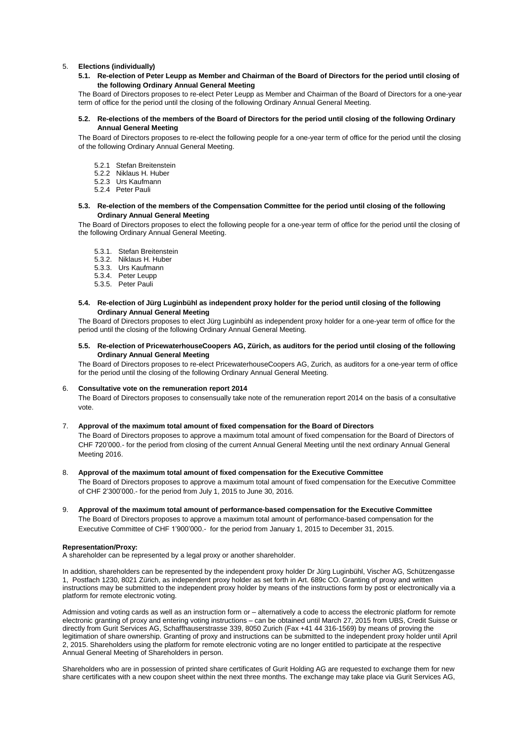#### 5. **Elections (individually)**

**5.1. Re-election of Peter Leupp as Member and Chairman of the Board of Directors for the period until closing of the following Ordinary Annual General Meeting** 

The Board of Directors proposes to re-elect Peter Leupp as Member and Chairman of the Board of Directors for a one-year term of office for the period until the closing of the following Ordinary Annual General Meeting.

#### **5.2. Re-elections of the members of the Board of Directors for the period until closing of the following Ordinary Annual General Meeting**

The Board of Directors proposes to re-elect the following people for a one-year term of office for the period until the closing of the following Ordinary Annual General Meeting.

- 5.2.1 Stefan Breitenstein
- 5.2.2 Niklaus H. Huber
- 5.2.3 Urs Kaufmann
- 5.2.4 Peter Pauli

#### **5.3. Re-election of the members of the Compensation Committee for the period until closing of the following Ordinary Annual General Meeting**

The Board of Directors proposes to elect the following people for a one-year term of office for the period until the closing of the following Ordinary Annual General Meeting.

- 5.3.1. Stefan Breitenstein
- 5.3.2. Niklaus H. Huber
- 5.3.3. Urs Kaufmann
- 5.3.4. Peter Leupp
- 5.3.5. Peter Pauli

#### **5.4. Re-election of Jürg Luginbühl as independent proxy holder for the period until closing of the following Ordinary Annual General Meeting**

The Board of Directors proposes to elect Jürg Luginbühl as independent proxy holder for a one-year term of office for the period until the closing of the following Ordinary Annual General Meeting.

#### **5.5. Re-election of PricewaterhouseCoopers AG, Zürich, as auditors for the period until closing of the following Ordinary Annual General Meeting**

The Board of Directors proposes to re-elect PricewaterhouseCoopers AG, Zurich, as auditors for a one-year term of office for the period until the closing of the following Ordinary Annual General Meeting.

#### 6. **Consultative vote on the remuneration report 2014**

The Board of Directors proposes to consensually take note of the remuneration report 2014 on the basis of a consultative vote.

#### 7. **Approval of the maximum total amount of fixed compensation for the Board of Directors**

The Board of Directors proposes to approve a maximum total amount of fixed compensation for the Board of Directors of CHF 720'000.- for the period from closing of the current Annual General Meeting until the next ordinary Annual General Meeting 2016.

#### 8. **Approval of the maximum total amount of fixed compensation for the Executive Committee**

The Board of Directors proposes to approve a maximum total amount of fixed compensation for the Executive Committee of CHF 2'300'000.- for the period from July 1, 2015 to June 30, 2016.

9. **Approval of the maximum total amount of performance-based compensation for the Executive Committee** The Board of Directors proposes to approve a maximum total amount of performance-based compensation for the Executive Committee of CHF 1'900'000.- for the period from January 1, 2015 to December 31, 2015.

#### **Representation/Proxy:**

A shareholder can be represented by a legal proxy or another shareholder.

In addition, shareholders can be represented by the independent proxy holder Dr Jürg Luginbühl, Vischer AG, Schützengasse 1, Postfach 1230, 8021 Zürich, as independent proxy holder as set forth in Art. 689c CO. Granting of proxy and written instructions may be submitted to the independent proxy holder by means of the instructions form by post or electronically via a platform for remote electronic voting.

Admission and voting cards as well as an instruction form or – alternatively a code to access the electronic platform for remote electronic granting of proxy and entering voting instructions – can be obtained until March 27, 2015 from UBS, Credit Suisse or directly from Gurit Services AG, Schaffhauserstrasse 339, 8050 Zurich (Fax +41 44 316-1569) by means of proving the legitimation of share ownership. Granting of proxy and instructions can be submitted to the independent proxy holder until April 2, 2015. Shareholders using the platform for remote electronic voting are no longer entitled to participate at the respective Annual General Meeting of Shareholders in person.

Shareholders who are in possession of printed share certificates of Gurit Holding AG are requested to exchange them for new share certificates with a new coupon sheet within the next three months. The exchange may take place via Gurit Services AG,